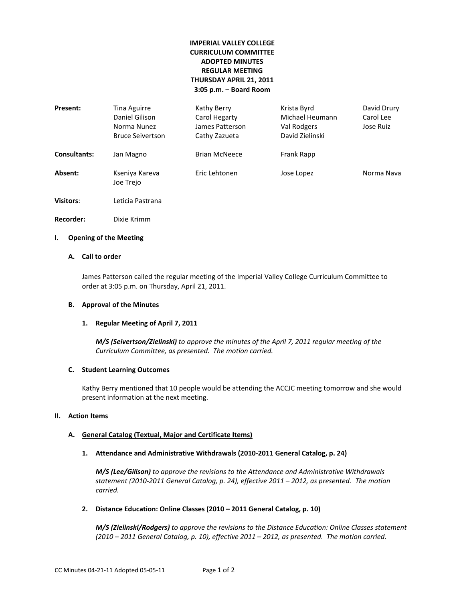# **IMPERIAL VALLEY COLLEGE CURRICULUM COMMITTEE ADOPTED MINUTES REGULAR MEETING THURSDAY APRIL 21, 2011 3:05 p.m. – Board Room**

| Present:            | Tina Aguirre<br>Daniel Gilison<br>Norma Nunez<br><b>Bruce Seivertson</b> | Kathy Berry<br>Carol Hegarty<br>James Patterson<br>Cathy Zazueta | Krista Byrd<br>Michael Heumann<br>Val Rodgers<br>David Zielinski | David Drury<br>Carol Lee<br>Jose Ruiz |
|---------------------|--------------------------------------------------------------------------|------------------------------------------------------------------|------------------------------------------------------------------|---------------------------------------|
| <b>Consultants:</b> | Jan Magno                                                                | <b>Brian McNeece</b>                                             | Frank Rapp                                                       |                                       |
| Absent:             | Kseniya Kareva<br>Joe Trejo                                              | Eric Lehtonen                                                    | Jose Lopez                                                       | Norma Nava                            |
| <b>Visitors:</b>    | Leticia Pastrana                                                         |                                                                  |                                                                  |                                       |
| Recorder:           | Dixie Krimm                                                              |                                                                  |                                                                  |                                       |

### **I. Opening of the Meeting**

## **A. Call to order**

James Patterson called the regular meeting of the Imperial Valley College Curriculum Committee to order at 3:05 p.m. on Thursday, April 21, 2011.

#### **B. Approval of the Minutes**

### **1. Regular Meeting of April 7, 2011**

*M/S (Seivertson/Zielinski) to approve the minutes of the April 7, 2011 regular meeting of the Curriculum Committee, as presented. The motion carried.*

#### **C. Student Learning Outcomes**

Kathy Berry mentioned that 10 people would be attending the ACCJC meeting tomorrow and she would present information at the next meeting.

### **II. Action Items**

### **A. General Catalog (Textual, Major and Certificate Items)**

**1. Attendance and Administrative Withdrawals (2010-2011 General Catalog, p. 24)**

*M/S (Lee/Gilison) to approve the revisions to the Attendance and Administrative Withdrawals statement (2010-2011 General Catalog, p. 24), effective 2011 – 2012, as presented. The motion carried.*

### **2. Distance Education: Online Classes (2010 – 2011 General Catalog, p. 10)**

*M/S (Zielinski/Rodgers) to approve the revisions to the Distance Education: Online Classes statement (2010 – 2011 General Catalog, p. 10), effective 2011 – 2012, as presented. The motion carried.*